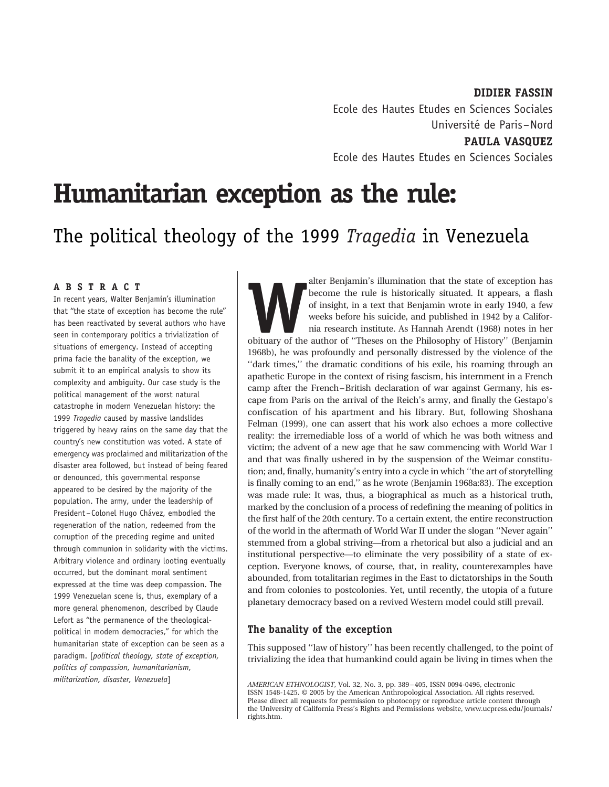DIDIER FASSIN Ecole des Hautes Etudes en Sciences Sociales Universite´ de Paris–Nord PAULA VASQUEZ

Ecole des Hautes Etudes en Sciences Sociales

# Humanitarian exception as the rule:

# The political theology of the 1999 Tragedia in Venezuela

#### ABSTRACT

In recent years, Walter Benjamin's illumination that ''the state of exception has become the rule'' has been reactivated by several authors who have seen in contemporary politics a trivialization of situations of emergency. Instead of accepting prima facie the banality of the exception, we submit it to an empirical analysis to show its complexity and ambiguity. Our case study is the political management of the worst natural catastrophe in modern Venezuelan history: the 1999 Tragedia caused by massive landslides triggered by heavy rains on the same day that the country's new constitution was voted. A state of emergency was proclaimed and militarization of the disaster area followed, but instead of being feared or denounced, this governmental response appeared to be desired by the majority of the population. The army, under the leadership of President-Colonel Hugo Chávez, embodied the regeneration of the nation, redeemed from the corruption of the preceding regime and united through communion in solidarity with the victims. Arbitrary violence and ordinary looting eventually occurred, but the dominant moral sentiment expressed at the time was deep compassion. The 1999 Venezuelan scene is, thus, exemplary of a more general phenomenon, described by Claude Lefort as ''the permanence of the theologicalpolitical in modern democracies,'' for which the humanitarian state of exception can be seen as a paradigm. [political theology, state of exception, politics of compassion, humanitarianism, militarization, disaster, Venezuela]

alter Benjamin's illumination that the state of exception has become the rule is historically situated. It appears, a flash of insight, in a text that Benjamin wrote in early 1940, a few weeks before his suicide, and publi become the rule is historically situated. It appears, a flash of insight, in a text that Benjamin wrote in early 1940, a few weeks before his suicide, and published in 1942 by a California research institute. As Hannah Arendt (1968) notes in her obituary of the author of ''Theses on the Philosophy of History'' (Benjamin 1968b), he was profoundly and personally distressed by the violence of the ''dark times,'' the dramatic conditions of his exile, his roaming through an apathetic Europe in the context of rising fascism, his internment in a French camp after the French–British declaration of war against Germany, his escape from Paris on the arrival of the Reich's army, and finally the Gestapo's confiscation of his apartment and his library. But, following Shoshana Felman (1999), one can assert that his work also echoes a more collective reality: the irremediable loss of a world of which he was both witness and victim; the advent of a new age that he saw commencing with World War I and that was finally ushered in by the suspension of the Weimar constitution; and, finally, humanity's entry into a cycle in which ''the art of storytelling is finally coming to an end,'' as he wrote (Benjamin 1968a:83). The exception was made rule: It was, thus, a biographical as much as a historical truth, marked by the conclusion of a process of redefining the meaning of politics in the first half of the 20th century. To a certain extent, the entire reconstruction of the world in the aftermath of World War II under the slogan ''Never again'' stemmed from a global striving—from a rhetorical but also a judicial and an institutional perspective—to eliminate the very possibility of a state of exception. Everyone knows, of course, that, in reality, counterexamples have abounded, from totalitarian regimes in the East to dictatorships in the South and from colonies to postcolonies. Yet, until recently, the utopia of a future planetary democracy based on a revived Western model could still prevail.

# The banality of the exception

This supposed ''law of history'' has been recently challenged, to the point of trivializing the idea that humankind could again be living in times when the

AMERICAN ETHNOLOGIST, Vol. 32, No. 3, pp. 389 – 405, ISSN 0094-0496, electronic ISSN 1548-1425. © 2005 by the American Anthropological Association. All rights reserved. Please direct all requests for permission to photocopy or reproduce article content through the University of California Press's Rights and Permissions website, www.ucpress.edu/journals/ rights.htm.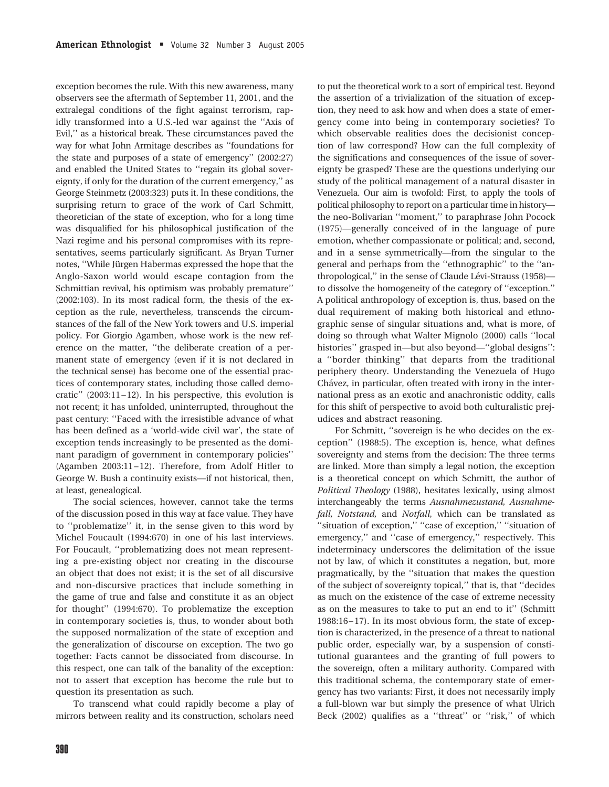exception becomes the rule. With this new awareness, many observers see the aftermath of September 11, 2001, and the extralegal conditions of the fight against terrorism, rapidly transformed into a U.S.-led war against the ''Axis of Evil,'' as a historical break. These circumstances paved the way for what John Armitage describes as ''foundations for the state and purposes of a state of emergency'' (2002:27) and enabled the United States to ''regain its global sovereignty, if only for the duration of the current emergency,'' as George Steinmetz (2003:323) puts it. In these conditions, the surprising return to grace of the work of Carl Schmitt, theoretician of the state of exception, who for a long time was disqualified for his philosophical justification of the Nazi regime and his personal compromises with its representatives, seems particularly significant. As Bryan Turner notes, "While Jürgen Habermas expressed the hope that the Anglo-Saxon world would escape contagion from the Schmittian revival, his optimism was probably premature'' (2002:103). In its most radical form, the thesis of the exception as the rule, nevertheless, transcends the circumstances of the fall of the New York towers and U.S. imperial policy. For Giorgio Agamben, whose work is the new reference on the matter, ''the deliberate creation of a permanent state of emergency (even if it is not declared in the technical sense) has become one of the essential practices of contemporary states, including those called democratic'' (2003:11–12). In his perspective, this evolution is not recent; it has unfolded, uninterrupted, throughout the past century: ''Faced with the irresistible advance of what has been defined as a 'world-wide civil war', the state of exception tends increasingly to be presented as the dominant paradigm of government in contemporary policies'' (Agamben 2003:11–12). Therefore, from Adolf Hitler to George W. Bush a continuity exists—if not historical, then, at least, genealogical.

The social sciences, however, cannot take the terms of the discussion posed in this way at face value. They have to ''problematize'' it, in the sense given to this word by Michel Foucault (1994:670) in one of his last interviews. For Foucault, ''problematizing does not mean representing a pre-existing object nor creating in the discourse an object that does not exist; it is the set of all discursive and non-discursive practices that include something in the game of true and false and constitute it as an object for thought'' (1994:670). To problematize the exception in contemporary societies is, thus, to wonder about both the supposed normalization of the state of exception and the generalization of discourse on exception. The two go together: Facts cannot be dissociated from discourse. In this respect, one can talk of the banality of the exception: not to assert that exception has become the rule but to question its presentation as such.

To transcend what could rapidly become a play of mirrors between reality and its construction, scholars need

to put the theoretical work to a sort of empirical test. Beyond the assertion of a trivialization of the situation of exception, they need to ask how and when does a state of emergency come into being in contemporary societies? To which observable realities does the decisionist conception of law correspond? How can the full complexity of the significations and consequences of the issue of sovereignty be grasped? These are the questions underlying our study of the political management of a natural disaster in Venezuela. Our aim is twofold: First, to apply the tools of political philosophy to report on a particular time in history the neo-Bolivarian ''moment,'' to paraphrase John Pocock (1975)—generally conceived of in the language of pure emotion, whether compassionate or political; and, second, and in a sense symmetrically—from the singular to the general and perhaps from the ''ethnographic'' to the ''anthropological," in the sense of Claude Lévi-Strauss (1958)to dissolve the homogeneity of the category of ''exception.'' A political anthropology of exception is, thus, based on the dual requirement of making both historical and ethnographic sense of singular situations and, what is more, of doing so through what Walter Mignolo (2000) calls ''local histories" grasped in—but also beyond—"global designs": a ''border thinking'' that departs from the traditional periphery theory. Understanding the Venezuela of Hugo Chávez, in particular, often treated with irony in the international press as an exotic and anachronistic oddity, calls for this shift of perspective to avoid both culturalistic prejudices and abstract reasoning.

For Schmitt, ''sovereign is he who decides on the exception'' (1988:5). The exception is, hence, what defines sovereignty and stems from the decision: The three terms are linked. More than simply a legal notion, the exception is a theoretical concept on which Schmitt, the author of Political Theology (1988), hesitates lexically, using almost interchangeably the terms Ausnahmezustand, Ausnahmefall, Notstand, and Notfall, which can be translated as ''situation of exception,'' ''case of exception,'' ''situation of emergency,'' and ''case of emergency,'' respectively. This indeterminacy underscores the delimitation of the issue not by law, of which it constitutes a negation, but, more pragmatically, by the ''situation that makes the question of the subject of sovereignty topical,'' that is, that ''decides as much on the existence of the case of extreme necessity as on the measures to take to put an end to it'' (Schmitt 1988:16–17). In its most obvious form, the state of exception is characterized, in the presence of a threat to national public order, especially war, by a suspension of constitutional guarantees and the granting of full powers to the sovereign, often a military authority. Compared with this traditional schema, the contemporary state of emergency has two variants: First, it does not necessarily imply a full-blown war but simply the presence of what Ulrich Beck (2002) qualifies as a ''threat'' or ''risk,'' of which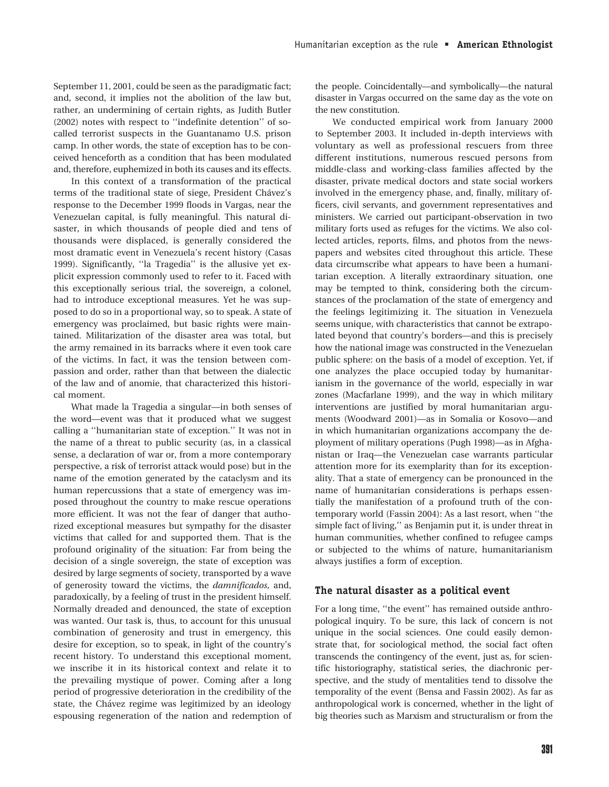September 11, 2001, could be seen as the paradigmatic fact; and, second, it implies not the abolition of the law but, rather, an undermining of certain rights, as Judith Butler (2002) notes with respect to ''indefinite detention'' of socalled terrorist suspects in the Guantanamo U.S. prison camp. In other words, the state of exception has to be conceived henceforth as a condition that has been modulated and, therefore, euphemized in both its causes and its effects.

In this context of a transformation of the practical terms of the traditional state of siege, President Chávez's response to the December 1999 floods in Vargas, near the Venezuelan capital, is fully meaningful. This natural disaster, in which thousands of people died and tens of thousands were displaced, is generally considered the most dramatic event in Venezuela's recent history (Casas 1999). Significantly, ''la Tragedia'' is the allusive yet explicit expression commonly used to refer to it. Faced with this exceptionally serious trial, the sovereign, a colonel, had to introduce exceptional measures. Yet he was supposed to do so in a proportional way, so to speak. A state of emergency was proclaimed, but basic rights were maintained. Militarization of the disaster area was total, but the army remained in its barracks where it even took care of the victims. In fact, it was the tension between compassion and order, rather than that between the dialectic of the law and of anomie, that characterized this historical moment.

What made la Tragedia a singular—in both senses of the word—event was that it produced what we suggest calling a ''humanitarian state of exception.'' It was not in the name of a threat to public security (as, in a classical sense, a declaration of war or, from a more contemporary perspective, a risk of terrorist attack would pose) but in the name of the emotion generated by the cataclysm and its human repercussions that a state of emergency was imposed throughout the country to make rescue operations more efficient. It was not the fear of danger that authorized exceptional measures but sympathy for the disaster victims that called for and supported them. That is the profound originality of the situation: Far from being the decision of a single sovereign, the state of exception was desired by large segments of society, transported by a wave of generosity toward the victims, the damnificados, and, paradoxically, by a feeling of trust in the president himself. Normally dreaded and denounced, the state of exception was wanted. Our task is, thus, to account for this unusual combination of generosity and trust in emergency, this desire for exception, so to speak, in light of the country's recent history. To understand this exceptional moment, we inscribe it in its historical context and relate it to the prevailing mystique of power. Coming after a long period of progressive deterioration in the credibility of the state, the Chávez regime was legitimized by an ideology espousing regeneration of the nation and redemption of

the people. Coincidentally—and symbolically—the natural disaster in Vargas occurred on the same day as the vote on the new constitution.

We conducted empirical work from January 2000 to September 2003. It included in-depth interviews with voluntary as well as professional rescuers from three different institutions, numerous rescued persons from middle-class and working-class families affected by the disaster, private medical doctors and state social workers involved in the emergency phase, and, finally, military officers, civil servants, and government representatives and ministers. We carried out participant-observation in two military forts used as refuges for the victims. We also collected articles, reports, films, and photos from the newspapers and websites cited throughout this article. These data circumscribe what appears to have been a humanitarian exception. A literally extraordinary situation, one may be tempted to think, considering both the circumstances of the proclamation of the state of emergency and the feelings legitimizing it. The situation in Venezuela seems unique, with characteristics that cannot be extrapolated beyond that country's borders—and this is precisely how the national image was constructed in the Venezuelan public sphere: on the basis of a model of exception. Yet, if one analyzes the place occupied today by humanitarianism in the governance of the world, especially in war zones (Macfarlane 1999), and the way in which military interventions are justified by moral humanitarian arguments (Woodward 2001)—as in Somalia or Kosovo—and in which humanitarian organizations accompany the deployment of military operations (Pugh 1998)—as in Afghanistan or Iraq—the Venezuelan case warrants particular attention more for its exemplarity than for its exceptionality. That a state of emergency can be pronounced in the name of humanitarian considerations is perhaps essentially the manifestation of a profound truth of the contemporary world (Fassin 2004): As a last resort, when ''the simple fact of living,'' as Benjamin put it, is under threat in human communities, whether confined to refugee camps or subjected to the whims of nature, humanitarianism always justifies a form of exception.

#### The natural disaster as a political event

For a long time, ''the event'' has remained outside anthropological inquiry. To be sure, this lack of concern is not unique in the social sciences. One could easily demonstrate that, for sociological method, the social fact often transcends the contingency of the event, just as, for scientific historiography, statistical series, the diachronic perspective, and the study of mentalities tend to dissolve the temporality of the event (Bensa and Fassin 2002). As far as anthropological work is concerned, whether in the light of big theories such as Marxism and structuralism or from the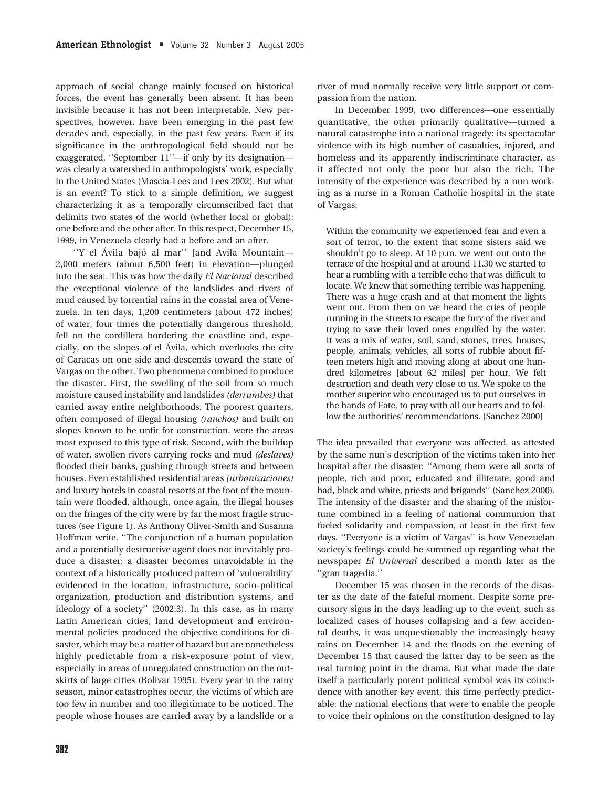approach of social change mainly focused on historical forces, the event has generally been absent. It has been invisible because it has not been interpretable. New perspectives, however, have been emerging in the past few decades and, especially, in the past few years. Even if its significance in the anthropological field should not be exaggerated, ''September 11''—if only by its designation was clearly a watershed in anthropologists' work, especially in the United States (Mascia-Lees and Lees 2002). But what is an event? To stick to a simple definition, we suggest characterizing it as a temporally circumscribed fact that delimits two states of the world (whether local or global): one before and the other after. In this respect, December 15, 1999, in Venezuela clearly had a before and an after.

"Y el Ávila bajó al mar" [and Avila Mountain— 2,000 meters (about 6,500 feet) in elevation—plunged into the sea]. This was how the daily El Nacional described the exceptional violence of the landslides and rivers of mud caused by torrential rains in the coastal area of Venezuela. In ten days, 1,200 centimeters (about 472 inches) of water, four times the potentially dangerous threshold, fell on the cordillera bordering the coastline and, especially, on the slopes of el Ávila, which overlooks the city of Caracas on one side and descends toward the state of Vargas on the other. Two phenomena combined to produce the disaster. First, the swelling of the soil from so much moisture caused instability and landslides (derrumbes) that carried away entire neighborhoods. The poorest quarters, often composed of illegal housing (ranchos) and built on slopes known to be unfit for construction, were the areas most exposed to this type of risk. Second, with the buildup of water, swollen rivers carrying rocks and mud (deslaves) flooded their banks, gushing through streets and between houses. Even established residential areas (urbanizaciones) and luxury hotels in coastal resorts at the foot of the mountain were flooded, although, once again, the illegal houses on the fringes of the city were by far the most fragile structures (see Figure 1). As Anthony Oliver-Smith and Susanna Hoffman write, ''The conjunction of a human population and a potentially destructive agent does not inevitably produce a disaster: a disaster becomes unavoidable in the context of a historically produced pattern of 'vulnerability' evidenced in the location, infrastructure, socio-political organization, production and distribution systems, and ideology of a society'' (2002:3). In this case, as in many Latin American cities, land development and environmental policies produced the objective conditions for disaster, which may be a matter of hazard but are nonetheless highly predictable from a risk-exposure point of view, especially in areas of unregulated construction on the outskirts of large cities (Bolivar 1995). Every year in the rainy season, minor catastrophes occur, the victims of which are too few in number and too illegitimate to be noticed. The people whose houses are carried away by a landslide or a

river of mud normally receive very little support or compassion from the nation.

In December 1999, two differences—one essentially quantitative, the other primarily qualitative—turned a natural catastrophe into a national tragedy: its spectacular violence with its high number of casualties, injured, and homeless and its apparently indiscriminate character, as it affected not only the poor but also the rich. The intensity of the experience was described by a nun working as a nurse in a Roman Catholic hospital in the state of Vargas:

Within the community we experienced fear and even a sort of terror, to the extent that some sisters said we shouldn't go to sleep. At 10 p.m. we went out onto the terrace of the hospital and at around 11.30 we started to hear a rumbling with a terrible echo that was difficult to locate. We knew that something terrible was happening. There was a huge crash and at that moment the lights went out. From then on we heard the cries of people running in the streets to escape the fury of the river and trying to save their loved ones engulfed by the water. It was a mix of water, soil, sand, stones, trees, houses, people, animals, vehicles, all sorts of rubble about fifteen meters high and moving along at about one hundred kilometres [about 62 miles] per hour. We felt destruction and death very close to us. We spoke to the mother superior who encouraged us to put ourselves in the hands of Fate, to pray with all our hearts and to follow the authorities' recommendations. [Sanchez 2000]

The idea prevailed that everyone was affected, as attested by the same nun's description of the victims taken into her hospital after the disaster: ''Among them were all sorts of people, rich and poor, educated and illiterate, good and bad, black and white, priests and brigands'' (Sanchez 2000). The intensity of the disaster and the sharing of the misfortune combined in a feeling of national communion that fueled solidarity and compassion, at least in the first few days. ''Everyone is a victim of Vargas'' is how Venezuelan society's feelings could be summed up regarding what the newspaper El Universal described a month later as the ''gran tragedia.''

December 15 was chosen in the records of the disaster as the date of the fateful moment. Despite some precursory signs in the days leading up to the event, such as localized cases of houses collapsing and a few accidental deaths, it was unquestionably the increasingly heavy rains on December 14 and the floods on the evening of December 15 that caused the latter day to be seen as the real turning point in the drama. But what made the date itself a particularly potent political symbol was its coincidence with another key event, this time perfectly predictable: the national elections that were to enable the people to voice their opinions on the constitution designed to lay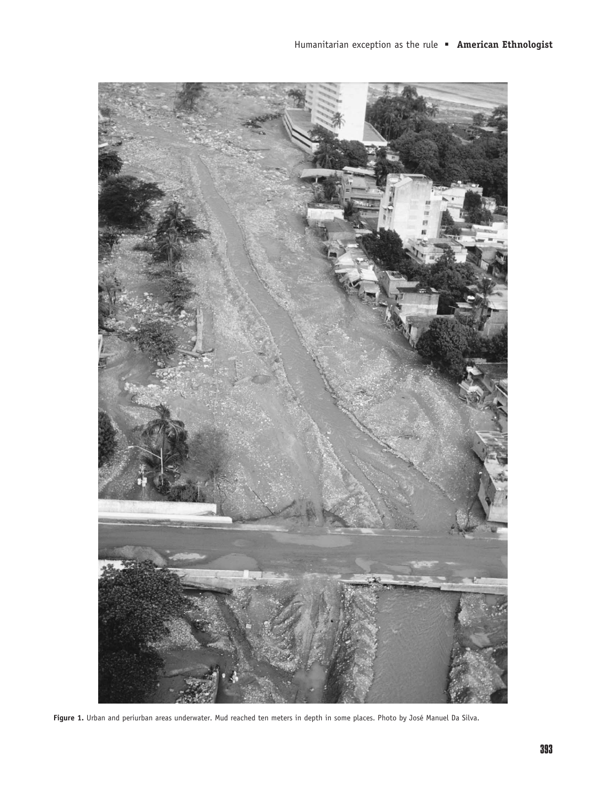

Figure 1. Urban and periurban areas underwater. Mud reached ten meters in depth in some places. Photo by José Manuel Da Silva.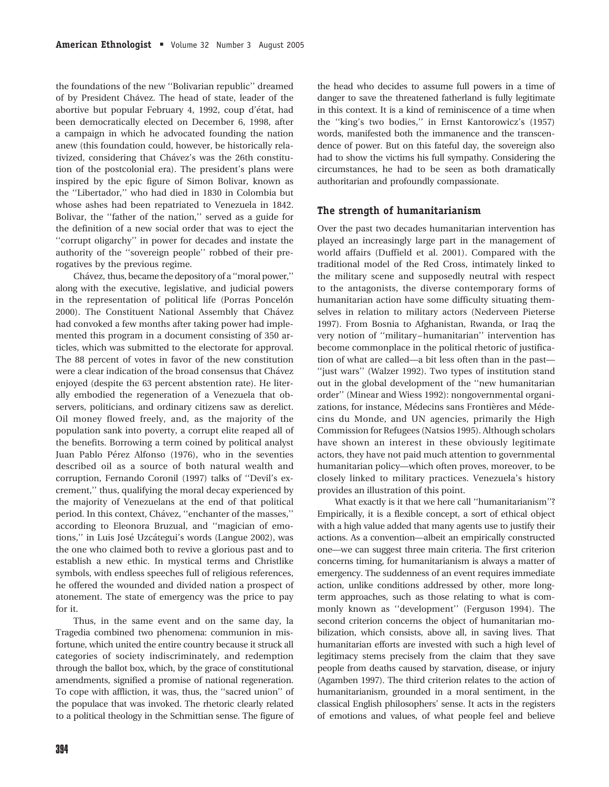the foundations of the new ''Bolivarian republic'' dreamed of by President Chávez. The head of state, leader of the abortive but popular February 4, 1992, coup d'état, had been democratically elected on December 6, 1998, after a campaign in which he advocated founding the nation anew (this foundation could, however, be historically relativized, considering that Chávez's was the 26th constitution of the postcolonial era). The president's plans were inspired by the epic figure of Simon Bolivar, known as the ''Libertador,'' who had died in 1830 in Colombia but whose ashes had been repatriated to Venezuela in 1842. Bolivar, the ''father of the nation,'' served as a guide for the definition of a new social order that was to eject the ''corrupt oligarchy'' in power for decades and instate the authority of the ''sovereign people'' robbed of their prerogatives by the previous regime.

Chávez, thus, became the depository of a "moral power," along with the executive, legislative, and judicial powers in the representation of political life (Porras Poncelón 2000). The Constituent National Assembly that Chávez had convoked a few months after taking power had implemented this program in a document consisting of 350 articles, which was submitted to the electorate for approval. The 88 percent of votes in favor of the new constitution were a clear indication of the broad consensus that Chávez enjoyed (despite the 63 percent abstention rate). He literally embodied the regeneration of a Venezuela that observers, politicians, and ordinary citizens saw as derelict. Oil money flowed freely, and, as the majority of the population sank into poverty, a corrupt elite reaped all of the benefits. Borrowing a term coined by political analyst Juan Pablo Pérez Alfonso (1976), who in the seventies described oil as a source of both natural wealth and corruption, Fernando Coronil (1997) talks of ''Devil's excrement,'' thus, qualifying the moral decay experienced by the majority of Venezuelans at the end of that political period. In this context, Chávez, "enchanter of the masses," according to Eleonora Bruzual, and ''magician of emotions," in Luis José Uzcátegui's words (Langue 2002), was the one who claimed both to revive a glorious past and to establish a new ethic. In mystical terms and Christlike symbols, with endless speeches full of religious references, he offered the wounded and divided nation a prospect of atonement. The state of emergency was the price to pay for it.

Thus, in the same event and on the same day, la Tragedia combined two phenomena: communion in misfortune, which united the entire country because it struck all categories of society indiscriminately, and redemption through the ballot box, which, by the grace of constitutional amendments, signified a promise of national regeneration. To cope with affliction, it was, thus, the ''sacred union'' of the populace that was invoked. The rhetoric clearly related to a political theology in the Schmittian sense. The figure of the head who decides to assume full powers in a time of danger to save the threatened fatherland is fully legitimate in this context. It is a kind of reminiscence of a time when the ''king's two bodies,'' in Ernst Kantorowicz's (1957) words, manifested both the immanence and the transcendence of power. But on this fateful day, the sovereign also had to show the victims his full sympathy. Considering the circumstances, he had to be seen as both dramatically authoritarian and profoundly compassionate.

## The strength of humanitarianism

Over the past two decades humanitarian intervention has played an increasingly large part in the management of world affairs (Duffield et al. 2001). Compared with the traditional model of the Red Cross, intimately linked to the military scene and supposedly neutral with respect to the antagonists, the diverse contemporary forms of humanitarian action have some difficulty situating themselves in relation to military actors (Nederveen Pieterse 1997). From Bosnia to Afghanistan, Rwanda, or Iraq the very notion of ''military –humanitarian'' intervention has become commonplace in the political rhetoric of justification of what are called—a bit less often than in the past— ''just wars'' (Walzer 1992). Two types of institution stand out in the global development of the ''new humanitarian order'' (Minear and Wiess 1992): nongovernmental organizations, for instance, Médecins sans Frontières and Médecins du Monde, and UN agencies, primarily the High Commission for Refugees (Natsios 1995). Although scholars have shown an interest in these obviously legitimate actors, they have not paid much attention to governmental humanitarian policy—which often proves, moreover, to be closely linked to military practices. Venezuela's history provides an illustration of this point.

What exactly is it that we here call ''humanitarianism''? Empirically, it is a flexible concept, a sort of ethical object with a high value added that many agents use to justify their actions. As a convention—albeit an empirically constructed one—we can suggest three main criteria. The first criterion concerns timing, for humanitarianism is always a matter of emergency. The suddenness of an event requires immediate action, unlike conditions addressed by other, more longterm approaches, such as those relating to what is commonly known as ''development'' (Ferguson 1994). The second criterion concerns the object of humanitarian mobilization, which consists, above all, in saving lives. That humanitarian efforts are invested with such a high level of legitimacy stems precisely from the claim that they save people from deaths caused by starvation, disease, or injury (Agamben 1997). The third criterion relates to the action of humanitarianism, grounded in a moral sentiment, in the classical English philosophers' sense. It acts in the registers of emotions and values, of what people feel and believe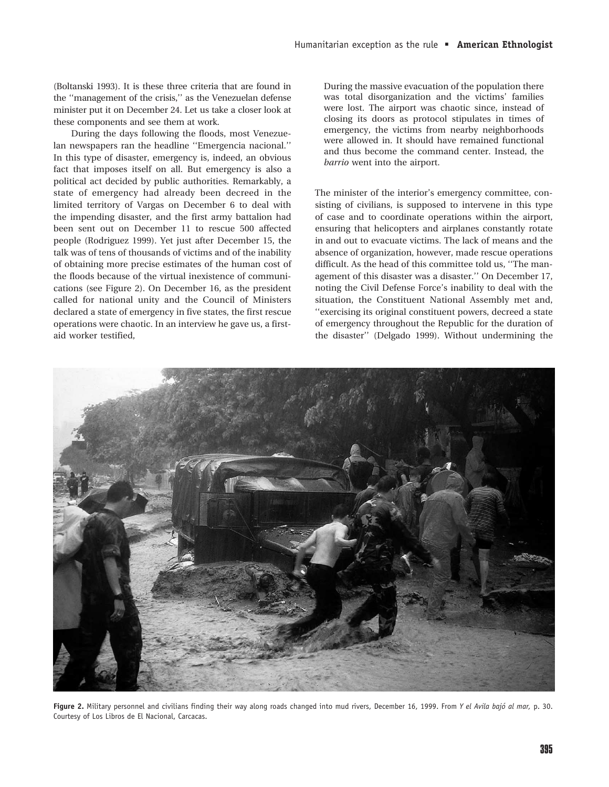(Boltanski 1993). It is these three criteria that are found in the ''management of the crisis,'' as the Venezuelan defense minister put it on December 24. Let us take a closer look at these components and see them at work.

During the days following the floods, most Venezuelan newspapers ran the headline ''Emergencia nacional.'' In this type of disaster, emergency is, indeed, an obvious fact that imposes itself on all. But emergency is also a political act decided by public authorities. Remarkably, a state of emergency had already been decreed in the limited territory of Vargas on December 6 to deal with the impending disaster, and the first army battalion had been sent out on December 11 to rescue 500 affected people (Rodriguez 1999). Yet just after December 15, the talk was of tens of thousands of victims and of the inability of obtaining more precise estimates of the human cost of the floods because of the virtual inexistence of communications (see Figure 2). On December 16, as the president called for national unity and the Council of Ministers declared a state of emergency in five states, the first rescue operations were chaotic. In an interview he gave us, a firstaid worker testified,

During the massive evacuation of the population there was total disorganization and the victims' families were lost. The airport was chaotic since, instead of closing its doors as protocol stipulates in times of emergency, the victims from nearby neighborhoods were allowed in. It should have remained functional and thus become the command center. Instead, the barrio went into the airport.

The minister of the interior's emergency committee, consisting of civilians, is supposed to intervene in this type of case and to coordinate operations within the airport, ensuring that helicopters and airplanes constantly rotate in and out to evacuate victims. The lack of means and the absence of organization, however, made rescue operations difficult. As the head of this committee told us, ''The management of this disaster was a disaster.'' On December 17, noting the Civil Defense Force's inability to deal with the situation, the Constituent National Assembly met and, ''exercising its original constituent powers, decreed a state of emergency throughout the Republic for the duration of the disaster'' (Delgado 1999). Without undermining the



Figure 2. Military personnel and civilians finding their way along roads changed into mud rivers, December 16, 1999. From Y el Avila bajó al mar, p. 30. Courtesy of Los Libros de El Nacional, Carcacas.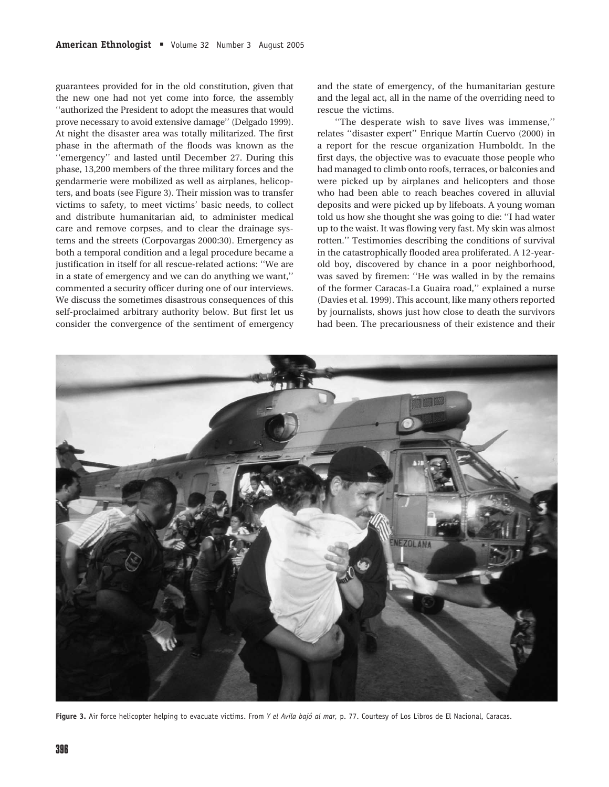guarantees provided for in the old constitution, given that the new one had not yet come into force, the assembly ''authorized the President to adopt the measures that would prove necessary to avoid extensive damage'' (Delgado 1999). At night the disaster area was totally militarized. The first phase in the aftermath of the floods was known as the ''emergency'' and lasted until December 27. During this phase, 13,200 members of the three military forces and the gendarmerie were mobilized as well as airplanes, helicopters, and boats (see Figure 3). Their mission was to transfer victims to safety, to meet victims' basic needs, to collect and distribute humanitarian aid, to administer medical care and remove corpses, and to clear the drainage systems and the streets (Corpovargas 2000:30). Emergency as both a temporal condition and a legal procedure became a justification in itself for all rescue-related actions: ''We are in a state of emergency and we can do anything we want,'' commented a security officer during one of our interviews. We discuss the sometimes disastrous consequences of this self-proclaimed arbitrary authority below. But first let us consider the convergence of the sentiment of emergency and the state of emergency, of the humanitarian gesture and the legal act, all in the name of the overriding need to rescue the victims.

''The desperate wish to save lives was immense,'' relates "disaster expert" Enrique Martín Cuervo (2000) in a report for the rescue organization Humboldt. In the first days, the objective was to evacuate those people who had managed to climb onto roofs, terraces, or balconies and were picked up by airplanes and helicopters and those who had been able to reach beaches covered in alluvial deposits and were picked up by lifeboats. A young woman told us how she thought she was going to die: ''I had water up to the waist. It was flowing very fast. My skin was almost rotten.'' Testimonies describing the conditions of survival in the catastrophically flooded area proliferated. A 12-yearold boy, discovered by chance in a poor neighborhood, was saved by firemen: ''He was walled in by the remains of the former Caracas-La Guaira road,'' explained a nurse (Davies et al. 1999). This account, like many others reported by journalists, shows just how close to death the survivors had been. The precariousness of their existence and their



Figure 3. Air force helicopter helping to evacuate victims. From Y el Avila bajó al mar, p. 77. Courtesy of Los Libros de El Nacional, Caracas.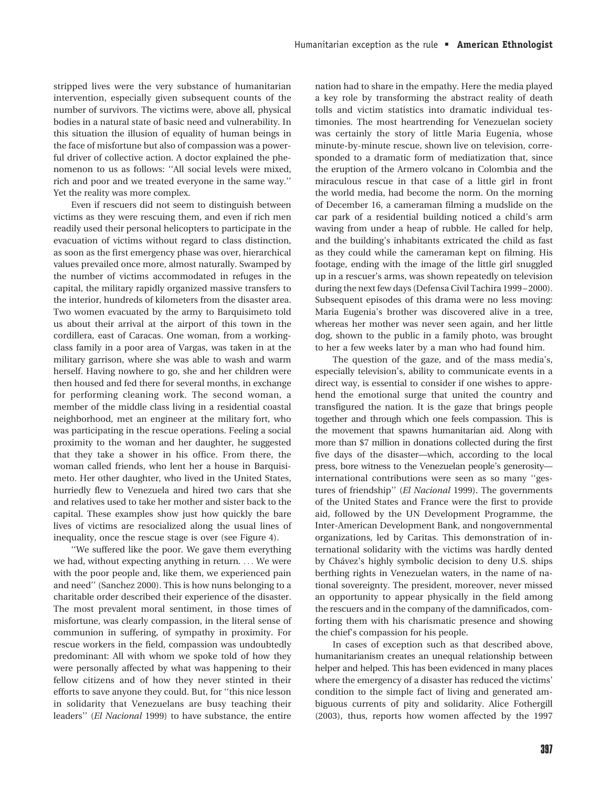stripped lives were the very substance of humanitarian intervention, especially given subsequent counts of the number of survivors. The victims were, above all, physical bodies in a natural state of basic need and vulnerability. In this situation the illusion of equality of human beings in the face of misfortune but also of compassion was a powerful driver of collective action. A doctor explained the phenomenon to us as follows: ''All social levels were mixed, rich and poor and we treated everyone in the same way.'' Yet the reality was more complex.

Even if rescuers did not seem to distinguish between victims as they were rescuing them, and even if rich men readily used their personal helicopters to participate in the evacuation of victims without regard to class distinction, as soon as the first emergency phase was over, hierarchical values prevailed once more, almost naturally. Swamped by the number of victims accommodated in refuges in the capital, the military rapidly organized massive transfers to the interior, hundreds of kilometers from the disaster area. Two women evacuated by the army to Barquisimeto told us about their arrival at the airport of this town in the cordillera, east of Caracas. One woman, from a workingclass family in a poor area of Vargas, was taken in at the military garrison, where she was able to wash and warm herself. Having nowhere to go, she and her children were then housed and fed there for several months, in exchange for performing cleaning work. The second woman, a member of the middle class living in a residential coastal neighborhood, met an engineer at the military fort, who was participating in the rescue operations. Feeling a social proximity to the woman and her daughter, he suggested that they take a shower in his office. From there, the woman called friends, who lent her a house in Barquisimeto. Her other daughter, who lived in the United States, hurriedly flew to Venezuela and hired two cars that she and relatives used to take her mother and sister back to the capital. These examples show just how quickly the bare lives of victims are resocialized along the usual lines of inequality, once the rescue stage is over (see Figure 4).

''We suffered like the poor. We gave them everything we had, without expecting anything in return. ... We were with the poor people and, like them, we experienced pain and need'' (Sanchez 2000). This is how nuns belonging to a charitable order described their experience of the disaster. The most prevalent moral sentiment, in those times of misfortune, was clearly compassion, in the literal sense of communion in suffering, of sympathy in proximity. For rescue workers in the field, compassion was undoubtedly predominant: All with whom we spoke told of how they were personally affected by what was happening to their fellow citizens and of how they never stinted in their efforts to save anyone they could. But, for ''this nice lesson in solidarity that Venezuelans are busy teaching their leaders'' (El Nacional 1999) to have substance, the entire nation had to share in the empathy. Here the media played a key role by transforming the abstract reality of death tolls and victim statistics into dramatic individual testimonies. The most heartrending for Venezuelan society was certainly the story of little Maria Eugenia, whose minute-by-minute rescue, shown live on television, corresponded to a dramatic form of mediatization that, since the eruption of the Armero volcano in Colombia and the miraculous rescue in that case of a little girl in front the world media, had become the norm. On the morning of December 16, a cameraman filming a mudslide on the car park of a residential building noticed a child's arm waving from under a heap of rubble. He called for help, and the building's inhabitants extricated the child as fast as they could while the cameraman kept on filming. His footage, ending with the image of the little girl snuggled up in a rescuer's arms, was shown repeatedly on television during the next few days (Defensa Civil Tachira 1999–2000). Subsequent episodes of this drama were no less moving: Maria Eugenia's brother was discovered alive in a tree, whereas her mother was never seen again, and her little dog, shown to the public in a family photo, was brought to her a few weeks later by a man who had found him.

The question of the gaze, and of the mass media's, especially television's, ability to communicate events in a direct way, is essential to consider if one wishes to apprehend the emotional surge that united the country and transfigured the nation. It is the gaze that brings people together and through which one feels compassion. This is the movement that spawns humanitarian aid. Along with more than \$7 million in donations collected during the first five days of the disaster—which, according to the local press, bore witness to the Venezuelan people's generosity international contributions were seen as so many ''gestures of friendship'' (El Nacional 1999). The governments of the United States and France were the first to provide aid, followed by the UN Development Programme, the Inter-American Development Bank, and nongovernmental organizations, led by Caritas. This demonstration of international solidarity with the victims was hardly dented by Chávez's highly symbolic decision to deny U.S. ships berthing rights in Venezuelan waters, in the name of national sovereignty. The president, moreover, never missed an opportunity to appear physically in the field among the rescuers and in the company of the damnificados, comforting them with his charismatic presence and showing the chief's compassion for his people.

In cases of exception such as that described above, humanitarianism creates an unequal relationship between helper and helped. This has been evidenced in many places where the emergency of a disaster has reduced the victims' condition to the simple fact of living and generated ambiguous currents of pity and solidarity. Alice Fothergill (2003), thus, reports how women affected by the 1997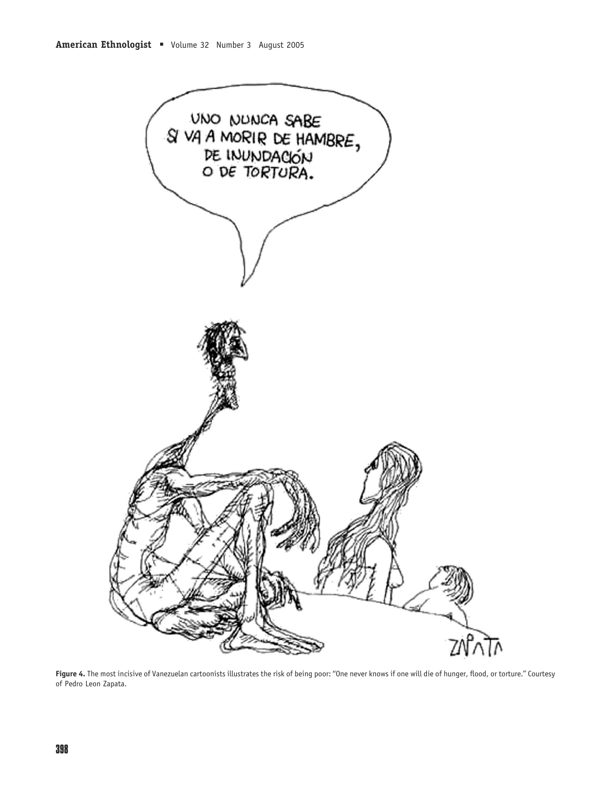

Figure 4. The most incisive of Vanezuelan cartoonists illustrates the risk of being poor: "One never knows if one will die of hunger, flood, or torture." Courtesy of Pedro Leon Zapata.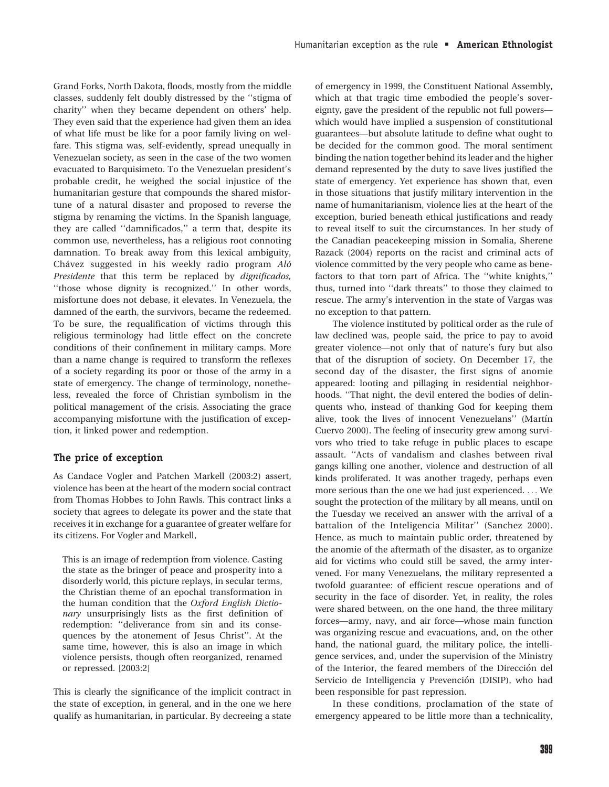Grand Forks, North Dakota, floods, mostly from the middle classes, suddenly felt doubly distressed by the ''stigma of charity'' when they became dependent on others' help. They even said that the experience had given them an idea of what life must be like for a poor family living on welfare. This stigma was, self-evidently, spread unequally in Venezuelan society, as seen in the case of the two women evacuated to Barquisimeto. To the Venezuelan president's probable credit, he weighed the social injustice of the humanitarian gesture that compounds the shared misfortune of a natural disaster and proposed to reverse the stigma by renaming the victims. In the Spanish language, they are called ''damnificados,'' a term that, despite its common use, nevertheless, has a religious root connoting damnation. To break away from this lexical ambiguity, Chávez suggested in his weekly radio program  $Al\acute{o}$ Presidente that this term be replaced by dignificados, "those whose dignity is recognized." In other words, misfortune does not debase, it elevates. In Venezuela, the damned of the earth, the survivors, became the redeemed. To be sure, the requalification of victims through this religious terminology had little effect on the concrete conditions of their confinement in military camps. More than a name change is required to transform the reflexes of a society regarding its poor or those of the army in a state of emergency. The change of terminology, nonetheless, revealed the force of Christian symbolism in the political management of the crisis. Associating the grace accompanying misfortune with the justification of exception, it linked power and redemption.

# The price of exception

As Candace Vogler and Patchen Markell (2003:2) assert, violence has been at the heart of the modern social contract from Thomas Hobbes to John Rawls. This contract links a society that agrees to delegate its power and the state that receives it in exchange for a guarantee of greater welfare for its citizens. For Vogler and Markell,

This is an image of redemption from violence. Casting the state as the bringer of peace and prosperity into a disorderly world, this picture replays, in secular terms, the Christian theme of an epochal transformation in the human condition that the Oxford English Dictionary unsurprisingly lists as the first definition of redemption: ''deliverance from sin and its consequences by the atonement of Jesus Christ''. At the same time, however, this is also an image in which violence persists, though often reorganized, renamed or repressed. [2003:2]

This is clearly the significance of the implicit contract in the state of exception, in general, and in the one we here qualify as humanitarian, in particular. By decreeing a state of emergency in 1999, the Constituent National Assembly, which at that tragic time embodied the people's sovereignty, gave the president of the republic not full powers which would have implied a suspension of constitutional guarantees—but absolute latitude to define what ought to be decided for the common good. The moral sentiment binding the nation together behind its leader and the higher demand represented by the duty to save lives justified the state of emergency. Yet experience has shown that, even in those situations that justify military intervention in the name of humanitarianism, violence lies at the heart of the exception, buried beneath ethical justifications and ready to reveal itself to suit the circumstances. In her study of the Canadian peacekeeping mission in Somalia, Sherene Razack (2004) reports on the racist and criminal acts of violence committed by the very people who came as benefactors to that torn part of Africa. The ''white knights,'' thus, turned into ''dark threats'' to those they claimed to rescue. The army's intervention in the state of Vargas was no exception to that pattern.

The violence instituted by political order as the rule of law declined was, people said, the price to pay to avoid greater violence—not only that of nature's fury but also that of the disruption of society. On December 17, the second day of the disaster, the first signs of anomie appeared: looting and pillaging in residential neighborhoods. ''That night, the devil entered the bodies of delinquents who, instead of thanking God for keeping them alive, took the lives of innocent Venezuelans" (Martín Cuervo 2000). The feeling of insecurity grew among survivors who tried to take refuge in public places to escape assault. ''Acts of vandalism and clashes between rival gangs killing one another, violence and destruction of all kinds proliferated. It was another tragedy, perhaps even more serious than the one we had just experienced. ... We sought the protection of the military by all means, until on the Tuesday we received an answer with the arrival of a battalion of the Inteligencia Militar'' (Sanchez 2000). Hence, as much to maintain public order, threatened by the anomie of the aftermath of the disaster, as to organize aid for victims who could still be saved, the army intervened. For many Venezuelans, the military represented a twofold guarantee: of efficient rescue operations and of security in the face of disorder. Yet, in reality, the roles were shared between, on the one hand, the three military forces—army, navy, and air force—whose main function was organizing rescue and evacuations, and, on the other hand, the national guard, the military police, the intelligence services, and, under the supervision of the Ministry of the Interior, the feared members of the Dirección del Servicio de Intelligencia y Prevención (DISIP), who had been responsible for past repression.

In these conditions, proclamation of the state of emergency appeared to be little more than a technicality,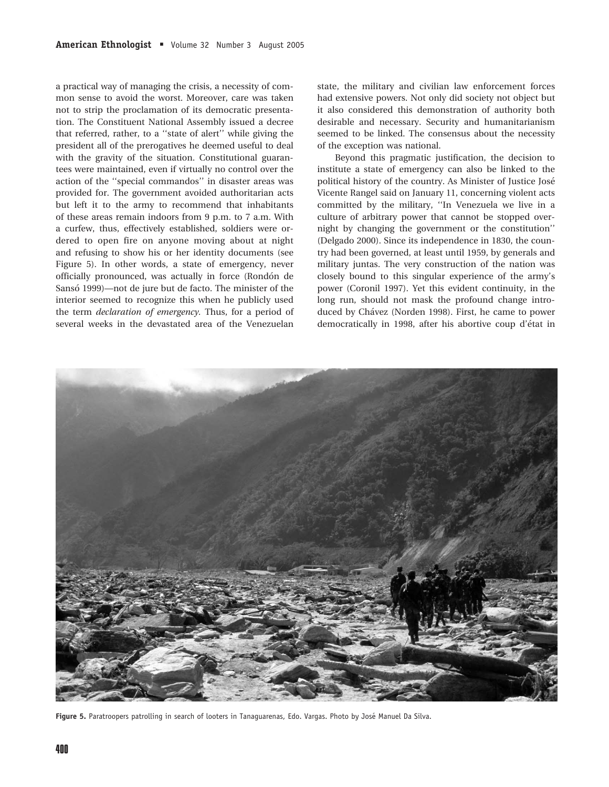a practical way of managing the crisis, a necessity of common sense to avoid the worst. Moreover, care was taken not to strip the proclamation of its democratic presentation. The Constituent National Assembly issued a decree that referred, rather, to a ''state of alert'' while giving the president all of the prerogatives he deemed useful to deal with the gravity of the situation. Constitutional guarantees were maintained, even if virtually no control over the action of the ''special commandos'' in disaster areas was provided for. The government avoided authoritarian acts but left it to the army to recommend that inhabitants of these areas remain indoors from 9 p.m. to 7 a.m. With a curfew, thus, effectively established, soldiers were ordered to open fire on anyone moving about at night and refusing to show his or her identity documents (see Figure 5). In other words, a state of emergency, never officially pronounced, was actually in force (Rondón de Sansó 1999)—not de jure but de facto. The minister of the interior seemed to recognize this when he publicly used the term declaration of emergency. Thus, for a period of several weeks in the devastated area of the Venezuelan state, the military and civilian law enforcement forces had extensive powers. Not only did society not object but it also considered this demonstration of authority both desirable and necessary. Security and humanitarianism seemed to be linked. The consensus about the necessity of the exception was national.

Beyond this pragmatic justification, the decision to institute a state of emergency can also be linked to the political history of the country. As Minister of Justice Jose´ Vicente Rangel said on January 11, concerning violent acts committed by the military, ''In Venezuela we live in a culture of arbitrary power that cannot be stopped overnight by changing the government or the constitution'' (Delgado 2000). Since its independence in 1830, the country had been governed, at least until 1959, by generals and military juntas. The very construction of the nation was closely bound to this singular experience of the army's power (Coronil 1997). Yet this evident continuity, in the long run, should not mask the profound change introduced by Chávez (Norden 1998). First, he came to power democratically in 1998, after his abortive coup d'état in



Figure 5. Paratroopers patrolling in search of looters in Tanaguarenas, Edo. Vargas. Photo by José Manuel Da Silva.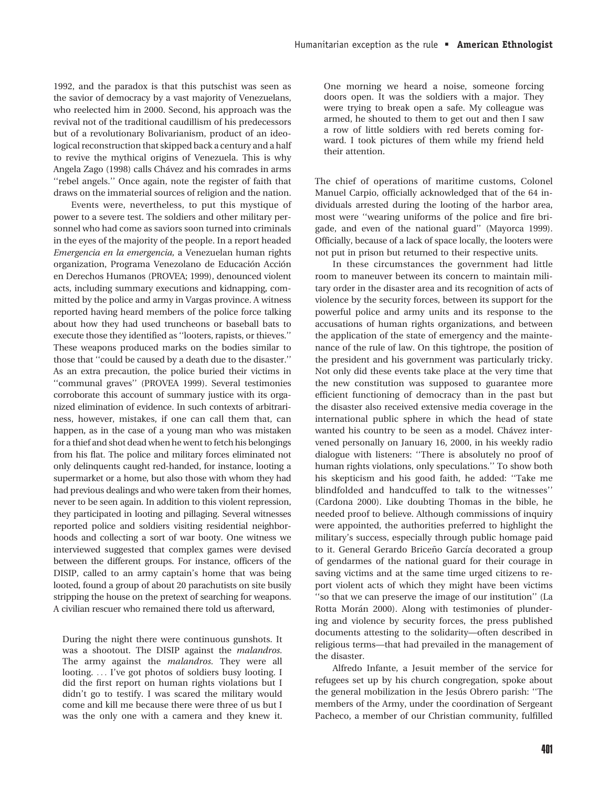1992, and the paradox is that this putschist was seen as the savior of democracy by a vast majority of Venezuelans, who reelected him in 2000. Second, his approach was the revival not of the traditional caudillism of his predecessors but of a revolutionary Bolivarianism, product of an ideological reconstruction that skipped back a century and a half to revive the mythical origins of Venezuela. This is why Angela Zago (1998) calls Chávez and his comrades in arms ''rebel angels.'' Once again, note the register of faith that draws on the immaterial sources of religion and the nation.

Events were, nevertheless, to put this mystique of power to a severe test. The soldiers and other military personnel who had come as saviors soon turned into criminals in the eyes of the majority of the people. In a report headed Emergencia en la emergencia, a Venezuelan human rights organization, Programa Venezolano de Educación Acción en Derechos Humanos (PROVEA; 1999), denounced violent acts, including summary executions and kidnapping, committed by the police and army in Vargas province. A witness reported having heard members of the police force talking about how they had used truncheons or baseball bats to execute those they identified as ''looters, rapists, or thieves.'' These weapons produced marks on the bodies similar to those that ''could be caused by a death due to the disaster.'' As an extra precaution, the police buried their victims in ''communal graves'' (PROVEA 1999). Several testimonies corroborate this account of summary justice with its organized elimination of evidence. In such contexts of arbitrariness, however, mistakes, if one can call them that, can happen, as in the case of a young man who was mistaken for a thief and shot dead when he went to fetch his belongings from his flat. The police and military forces eliminated not only delinquents caught red-handed, for instance, looting a supermarket or a home, but also those with whom they had had previous dealings and who were taken from their homes, never to be seen again. In addition to this violent repression, they participated in looting and pillaging. Several witnesses reported police and soldiers visiting residential neighborhoods and collecting a sort of war booty. One witness we interviewed suggested that complex games were devised between the different groups. For instance, officers of the DISIP, called to an army captain's home that was being looted, found a group of about 20 parachutists on site busily stripping the house on the pretext of searching for weapons. A civilian rescuer who remained there told us afterward,

During the night there were continuous gunshots. It was a shootout. The DISIP against the malandros. The army against the malandros. They were all looting. ... I've got photos of soldiers busy looting. I did the first report on human rights violations but I didn't go to testify. I was scared the military would come and kill me because there were three of us but I was the only one with a camera and they knew it.

One morning we heard a noise, someone forcing doors open. It was the soldiers with a major. They were trying to break open a safe. My colleague was armed, he shouted to them to get out and then I saw a row of little soldiers with red berets coming forward. I took pictures of them while my friend held their attention.

The chief of operations of maritime customs, Colonel Manuel Carpio, officially acknowledged that of the 64 individuals arrested during the looting of the harbor area, most were ''wearing uniforms of the police and fire brigade, and even of the national guard'' (Mayorca 1999). Officially, because of a lack of space locally, the looters were not put in prison but returned to their respective units.

In these circumstances the government had little room to maneuver between its concern to maintain military order in the disaster area and its recognition of acts of violence by the security forces, between its support for the powerful police and army units and its response to the accusations of human rights organizations, and between the application of the state of emergency and the maintenance of the rule of law. On this tightrope, the position of the president and his government was particularly tricky. Not only did these events take place at the very time that the new constitution was supposed to guarantee more efficient functioning of democracy than in the past but the disaster also received extensive media coverage in the international public sphere in which the head of state wanted his country to be seen as a model. Chávez intervened personally on January 16, 2000, in his weekly radio dialogue with listeners: ''There is absolutely no proof of human rights violations, only speculations.'' To show both his skepticism and his good faith, he added: ''Take me blindfolded and handcuffed to talk to the witnesses'' (Cardona 2000). Like doubting Thomas in the bible, he needed proof to believe. Although commissions of inquiry were appointed, the authorities preferred to highlight the military's success, especially through public homage paid to it. General Gerardo Briceño García decorated a group of gendarmes of the national guard for their courage in saving victims and at the same time urged citizens to report violent acts of which they might have been victims ''so that we can preserve the image of our institution'' (La Rotta Morán 2000). Along with testimonies of plundering and violence by security forces, the press published documents attesting to the solidarity—often described in religious terms—that had prevailed in the management of the disaster.

Alfredo Infante, a Jesuit member of the service for refugees set up by his church congregation, spoke about the general mobilization in the Jesu's Obrero parish: "The members of the Army, under the coordination of Sergeant Pacheco, a member of our Christian community, fulfilled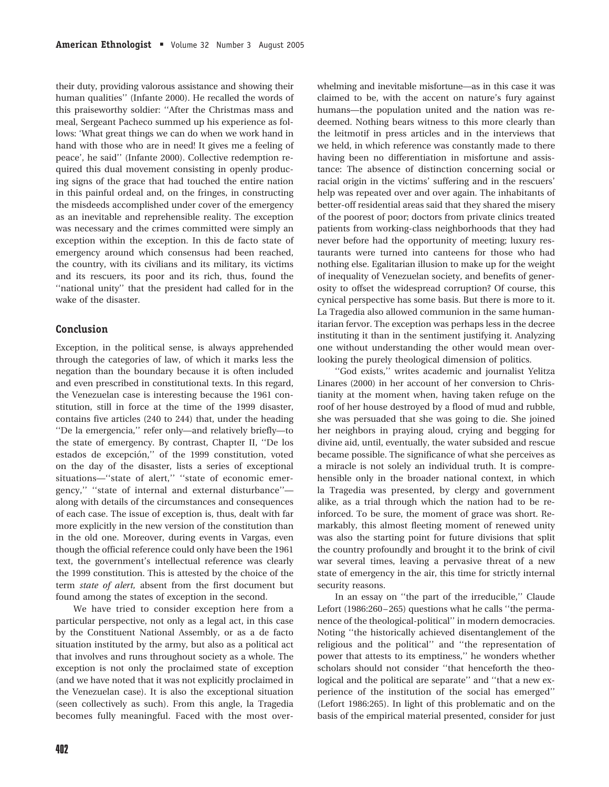their duty, providing valorous assistance and showing their human qualities'' (Infante 2000). He recalled the words of this praiseworthy soldier: ''After the Christmas mass and meal, Sergeant Pacheco summed up his experience as follows: 'What great things we can do when we work hand in hand with those who are in need! It gives me a feeling of peace', he said'' (Infante 2000). Collective redemption required this dual movement consisting in openly producing signs of the grace that had touched the entire nation in this painful ordeal and, on the fringes, in constructing the misdeeds accomplished under cover of the emergency as an inevitable and reprehensible reality. The exception was necessary and the crimes committed were simply an exception within the exception. In this de facto state of emergency around which consensus had been reached, the country, with its civilians and its military, its victims and its rescuers, its poor and its rich, thus, found the ''national unity'' that the president had called for in the wake of the disaster.

## Conclusion

Exception, in the political sense, is always apprehended through the categories of law, of which it marks less the negation than the boundary because it is often included and even prescribed in constitutional texts. In this regard, the Venezuelan case is interesting because the 1961 constitution, still in force at the time of the 1999 disaster, contains five articles (240 to 244) that, under the heading ''De la emergencia,'' refer only—and relatively briefly—to the state of emergency. By contrast, Chapter II, ''De los estados de excepción," of the 1999 constitution, voted on the day of the disaster, lists a series of exceptional situations—''state of alert,'' ''state of economic emergency,'' ''state of internal and external disturbance'' along with details of the circumstances and consequences of each case. The issue of exception is, thus, dealt with far more explicitly in the new version of the constitution than in the old one. Moreover, during events in Vargas, even though the official reference could only have been the 1961 text, the government's intellectual reference was clearly the 1999 constitution. This is attested by the choice of the term state of alert, absent from the first document but found among the states of exception in the second.

We have tried to consider exception here from a particular perspective, not only as a legal act, in this case by the Constituent National Assembly, or as a de facto situation instituted by the army, but also as a political act that involves and runs throughout society as a whole. The exception is not only the proclaimed state of exception (and we have noted that it was not explicitly proclaimed in the Venezuelan case). It is also the exceptional situation (seen collectively as such). From this angle, la Tragedia becomes fully meaningful. Faced with the most overwhelming and inevitable misfortune—as in this case it was claimed to be, with the accent on nature's fury against humans—the population united and the nation was redeemed. Nothing bears witness to this more clearly than the leitmotif in press articles and in the interviews that we held, in which reference was constantly made to there having been no differentiation in misfortune and assistance: The absence of distinction concerning social or racial origin in the victims' suffering and in the rescuers' help was repeated over and over again. The inhabitants of better-off residential areas said that they shared the misery of the poorest of poor; doctors from private clinics treated patients from working-class neighborhoods that they had never before had the opportunity of meeting; luxury restaurants were turned into canteens for those who had nothing else. Egalitarian illusion to make up for the weight of inequality of Venezuelan society, and benefits of generosity to offset the widespread corruption? Of course, this cynical perspective has some basis. But there is more to it. La Tragedia also allowed communion in the same humanitarian fervor. The exception was perhaps less in the decree instituting it than in the sentiment justifying it. Analyzing one without understanding the other would mean overlooking the purely theological dimension of politics.

''God exists,'' writes academic and journalist Yelitza Linares (2000) in her account of her conversion to Christianity at the moment when, having taken refuge on the roof of her house destroyed by a flood of mud and rubble, she was persuaded that she was going to die. She joined her neighbors in praying aloud, crying and begging for divine aid, until, eventually, the water subsided and rescue became possible. The significance of what she perceives as a miracle is not solely an individual truth. It is comprehensible only in the broader national context, in which la Tragedia was presented, by clergy and government alike, as a trial through which the nation had to be reinforced. To be sure, the moment of grace was short. Remarkably, this almost fleeting moment of renewed unity was also the starting point for future divisions that split the country profoundly and brought it to the brink of civil war several times, leaving a pervasive threat of a new state of emergency in the air, this time for strictly internal security reasons.

In an essay on ''the part of the irreducible,'' Claude Lefort (1986:260–265) questions what he calls ''the permanence of the theological-political'' in modern democracies. Noting ''the historically achieved disentanglement of the religious and the political'' and ''the representation of power that attests to its emptiness,'' he wonders whether scholars should not consider ''that henceforth the theological and the political are separate'' and ''that a new experience of the institution of the social has emerged'' (Lefort 1986:265). In light of this problematic and on the basis of the empirical material presented, consider for just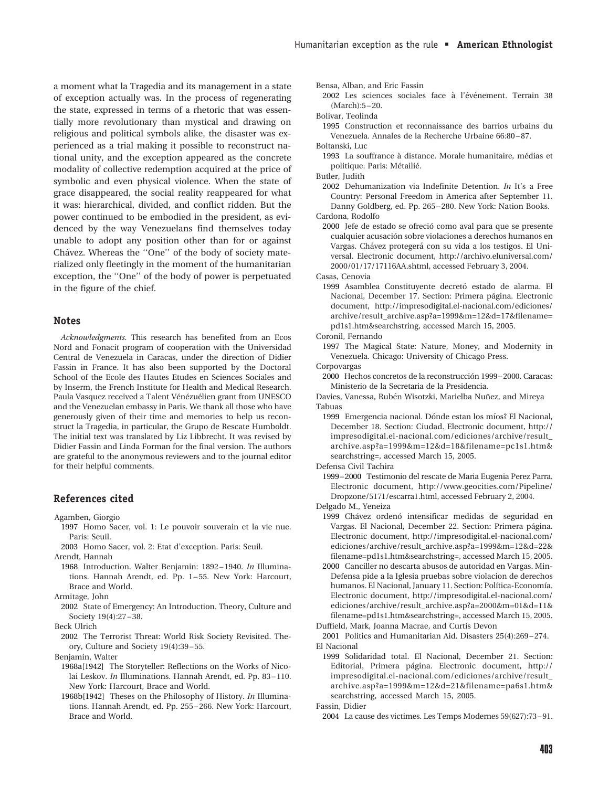a moment what la Tragedia and its management in a state of exception actually was. In the process of regenerating the state, expressed in terms of a rhetoric that was essentially more revolutionary than mystical and drawing on religious and political symbols alike, the disaster was experienced as a trial making it possible to reconstruct national unity, and the exception appeared as the concrete modality of collective redemption acquired at the price of symbolic and even physical violence. When the state of grace disappeared, the social reality reappeared for what it was: hierarchical, divided, and conflict ridden. But the power continued to be embodied in the president, as evidenced by the way Venezuelans find themselves today unable to adopt any position other than for or against Chávez. Whereas the "One" of the body of society materialized only fleetingly in the moment of the humanitarian exception, the ''One'' of the body of power is perpetuated in the figure of the chief.

#### **Notes**

Acknowledgments. This research has benefited from an Ecos Nord and Fonacit program of cooperation with the Universidad Central de Venezuela in Caracas, under the direction of Didier Fassin in France. It has also been supported by the Doctoral School of the Ecole des Hautes Etudes en Sciences Sociales and by Inserm, the French Institute for Health and Medical Research. Paula Vasquez received a Talent Vénézuélien grant from UNESCO and the Venezuelan embassy in Paris. We thank all those who have generously given of their time and memories to help us reconstruct la Tragedia, in particular, the Grupo de Rescate Humboldt. The initial text was translated by Liz Libbrecht. It was revised by Didier Fassin and Linda Forman for the final version. The authors are grateful to the anonymous reviewers and to the journal editor for their helpful comments.

#### References cited

- Agamben, Giorgio
	- 1997 Homo Sacer, vol. 1: Le pouvoir souverain et la vie nue. Paris: Seuil.
- 2003 Homo Sacer, vol. 2: Etat d'exception. Paris: Seuil. Arendt, Hannah
- 1968 Introduction. Walter Benjamin: 1892 1940. In Illuminations. Hannah Arendt, ed. Pp. 1 – 55. New York: Harcourt, Brace and World.
- Armitage, John
- 2002 State of Emergency: An Introduction. Theory, Culture and Society 19(4):27-38.
- Beck Ulrich
- 2002 The Terrorist Threat: World Risk Society Revisited. Theory, Culture and Society 19(4):39 – 55.
- Benjamin, Walter
- 1968a[1942] The Storyteller: Reflections on the Works of Nicolai Leskov. *In* Illuminations. Hannah Arendt, ed. Pp. 83-110. New York: Harcourt, Brace and World.
- 1968b[1942] Theses on the Philosophy of History. In Illuminations. Hannah Arendt, ed. Pp. 255 – 266. New York: Harcourt, Brace and World.

Bensa, Alban, and Eric Fassin

2002 Les sciences sociales face à l'événement. Terrain 38 (March):5 – 20.

Bolivar, Teolinda

- 1995 Construction et reconnaissance des barrios urbains du Venezuela. Annales de la Recherche Urbaine 66:80 – 87. Boltanski, Luc
- 1993 La souffrance à distance. Morale humanitaire, médias et politique. Paris: Métailié.

Butler, Judith

2002 Dehumanization via Indefinite Detention. In It's a Free Country: Personal Freedom in America after September 11. Danny Goldberg, ed. Pp. 265 – 280. New York: Nation Books. Cardona, Rodolfo

2000 Jefe de estado se ofrecio´ como aval para que se presente cualquier acusación sobre violaciones a derechos humanos en Vargas. Chávez protegerá con su vida a los testigos. El Universal. Electronic document, http://archivo.eluniversal.com/ 2000/01/17/17116AA.shtml, accessed February 3, 2004.

Casas, Cenovia

1999 Asamblea Constituvente decretó estado de alarma. El Nacional, December 17. Section: Primera página. Electronic document, http://impresodigital.el-nacional.com/ediciones/ archive/result\_archive.asp?a=1999&m=12&d=17&filename= pd1s1.htm&searchstring, accessed March 15, 2005.

Coronil, Fernando

- 1997 The Magical State: Nature, Money, and Modernity in Venezuela. Chicago: University of Chicago Press.
- Corpovargas
- 2000 Hechos concretos de la reconstrucción 1999-2000. Caracas: Ministerio de la Secretaria de la Presidencia.

Davies, Vanessa, Rubén Wisotzki, Marielba Nuñez, and Mireya Tabuas

1999 Emergencia nacional. Dónde estan los míos? El Nacional, December 18. Section: Ciudad. Electronic document, http:// impresodigital.el-nacional.com/ediciones/archive/result\_ archive.asp?a=1999&m=12&d=18&filename=pc1s1.htm& searchstring=, accessed March 15, 2005.

Defensa Civil Tachira

1999–2000 Testimonio del rescate de Maria Eugenia Perez Parra. Electronic document, http://www.geocities.com/Pipeline/ Dropzone/5171/escarra1.html, accessed February 2, 2004.

Delgado M., Yeneiza

- 1999 Chávez ordenó intensificar medidas de seguridad en Vargas. El Nacional, December 22. Section: Primera página. Electronic document, http://impresodigital.el-nacional.com/ ediciones/archive/result\_archive.asp?a=1999&m=12&d=22& filename=pd1s1.htm&searchstring=, accessed March 15, 2005.
- 2000 Canciller no descarta abusos de autoridad en Vargas. Min-Defensa pide a la Iglesia pruebas sobre violacion de derechos humanos. El Nacional, January 11. Section: Política-Economía. Electronic document, http://impresodigital.el-nacional.com/ ediciones/archive/result\_archive.asp?a=2000&m=01&d=11& filename=pd1s1.htm&searchstring=, accessed March 15, 2005. Duffield, Mark, Joanna Macrae, and Curtis Devon

2001 Politics and Humanitarian Aid. Disasters 25(4):269 – 274. El Nacional

1999 Solidaridad total. El Nacional, December 21. Section: Editorial, Primera página. Electronic document, http:// impresodigital.el-nacional.com/ediciones/archive/result\_ archive.asp?a=1999&m=12&d=21&filename=pa6s1.htm& searchstring, accessed March 15, 2005.

Fassin, Didier

2004 La cause des victimes. Les Temps Modernes 59(627):73 –91.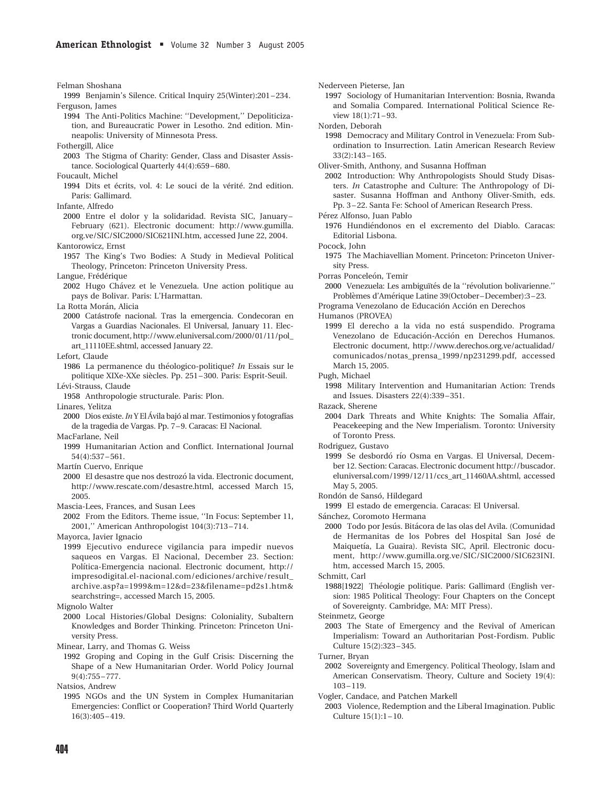Felman Shoshana

- 1999 Benjamin's Silence. Critical Inquiry 25(Winter):201 234. Ferguson, James
	- 1994 The Anti-Politics Machine: ''Development,'' Depoliticization, and Bureaucratic Power in Lesotho. 2nd edition. Minneapolis: University of Minnesota Press.

Fothergill, Alice

2003 The Stigma of Charity: Gender, Class and Disaster Assistance. Sociological Quarterly 44(4):659– 680.

Foucault, Michel

- 1994 Dits et écrits, vol. 4: Le souci de la vérité. 2nd edition. Paris: Gallimard.
- Infante, Alfredo
- 2000 Entre el dolor y la solidaridad. Revista SIC, January February (621). Electronic document: http://www.gumilla. org.ve/SIC/SIC2000/SIC621INI.htm, accessed June 22, 2004.

Kantorowicz, Ernst

1957 The King's Two Bodies: A Study in Medieval Political Theology, Princeton: Princeton University Press.

Langue, Frédérique

2002 Hugo Chávez et le Venezuela. Une action politique au pays de Bolivar. Paris: L'Harmattan.

La Rotta Morán, Alicia

2000 Cata´strofe nacional. Tras la emergencia. Condecoran en Vargas a Guardias Nacionales. El Universal, January 11. Electronic document, http://www.eluniversal.com/2000/01/11/pol\_ art\_11110EE.shtml, accessed January 22.

Lefort, Claude

1986 La permanence du théologico-politique? In Essais sur le politique XIXe-XXe siècles. Pp. 251-300. Paris: Esprit-Seuil. Le´vi-Strauss, Claude

1958 Anthropologie structurale. Paris: Plon. Linares, Yelitza

2000 Dios existe. In Y El Ávila bajó al mar. Testimonios y fotografías de la tragedia de Vargas. Pp. 7–9. Caracas: El Nacional.

MacFarlane, Neil

- 1999 Humanitarian Action and Conflict. International Journal 54(4):537– 561.
- Martín Cuervo, Enrique
- 2000 El desastre que nos destrozó la vida. Electronic document, http://www.rescate.com/desastre.html, accessed March 15, 2005.
- Mascia-Lees, Frances, and Susan Lees
- 2002 From the Editors. Theme issue, ''In Focus: September 11, 2001,'' American Anthropologist 104(3):713 – 714.

Mayorca, Javier Ignacio

1999 Ejecutivo endurece vigilancia para impedir nuevos saqueos en Vargas. El Nacional, December 23. Section: Política-Emergencia nacional. Electronic document, http:// impresodigital.el-nacional.com/ediciones/archive/result\_ archive.asp?a=1999&m=12&d=23&filename=pd2s1.htm& searchstring=, accessed March 15, 2005.

2000 Local Histories/Global Designs: Coloniality, Subaltern Knowledges and Border Thinking. Princeton: Princeton University Press.

Minear, Larry, and Thomas G. Weiss

1992 Groping and Coping in the Gulf Crisis: Discerning the Shape of a New Humanitarian Order. World Policy Journal 9(4):755 – 777.

Natsios, Andrew

1995 NGOs and the UN System in Complex Humanitarian Emergencies: Conflict or Cooperation? Third World Quarterly 16(3):405– 419.

Nederveen Pieterse, Jan

- 1997 Sociology of Humanitarian Intervention: Bosnia, Rwanda and Somalia Compared. International Political Science Review 18(1):71-93.
- Norden, Deborah
- 1998 Democracy and Military Control in Venezuela: From Subordination to Insurrection. Latin American Research Review 33(2):143– 165.
- Oliver-Smith, Anthony, and Susanna Hoffman
- 2002 Introduction: Why Anthropologists Should Study Disasters. In Catastrophe and Culture: The Anthropology of Disaster. Susanna Hoffman and Anthony Oliver-Smith, eds. Pp. 3 – 22. Santa Fe: School of American Research Press.

Pérez Alfonso, Juan Pablo

1976 Hundiéndonos en el excremento del Diablo. Caracas: Editorial Lisbona.

Pocock, John

- 1975 The Machiavellian Moment. Princeton: Princeton University Press.
- Porras Ponceleón, Temir
- 2000 Venezuela: Les ambiguïtés de la "révolution bolivarienne." Problèmes d'Amérique Latine 39(October–December):3–23.
- Programa Venezolano de Educación Acción en Derechos

Humanos (PROVEA)

- 1999 El derecho a la vida no está suspendido. Programa Venezolano de Educación-Acción en Derechos Humanos. Electronic document, http://www.derechos.org.ve/actualidad/ comunicados/notas\_prensa\_1999/np231299.pdf, accessed March 15, 2005.
- Pugh, Michael
- 1998 Military Intervention and Humanitarian Action: Trends and Issues. Disasters 22(4):339– 351.
- Razack, Sherene
- 2004 Dark Threats and White Knights: The Somalia Affair, Peacekeeping and the New Imperialism. Toronto: University of Toronto Press.
- Rodriguez, Gustavo
- 1999 Se desbordó río Osma en Vargas. El Universal, December 12. Section: Caracas. Electronic document http://buscador. eluniversal.com/1999/12/11/ccs\_art\_11460AA.shtml, accessed May 5, 2005.

Rondón de Sansó, Hildegard

1999 El estado de emergencia. Caracas: El Universal.

Sánchez, Coromoto Hermana

2000 Todo por Jesús. Bitácora de las olas del Avila. (Comunidad de Hermanitas de los Pobres del Hospital San Jose´ de Maiquetía, La Guaira). Revista SIC, April. Electronic document, http://www.gumilla.org.ve/SIC/SIC2000/SIC623INI. htm, accessed March 15, 2005.

Schmitt, Carl

1988[1922] Théologie politique. Paris: Gallimard (English version: 1985 Political Theology: Four Chapters on the Concept of Sovereignty. Cambridge, MA: MIT Press).

Steinmetz, George

2003 The State of Emergency and the Revival of American Imperialism: Toward an Authoritarian Post-Fordism. Public Culture 15(2):323– 345.

Turner, Bryan

- 2002 Sovereignty and Emergency. Political Theology, Islam and American Conservatism. Theory, Culture and Society 19(4): 103 – 119.
- Vogler, Candace, and Patchen Markell
- 2003 Violence, Redemption and the Liberal Imagination. Public Culture 15(1):1 – 10.

Mignolo Walter